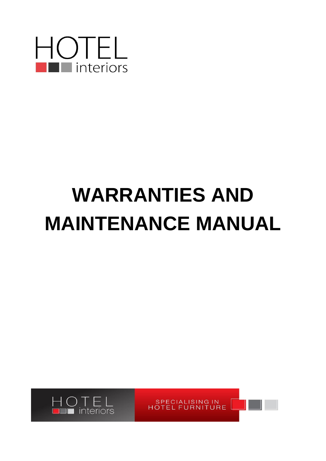

# **WARRANTIES AND MAINTENANCE MANUAL**

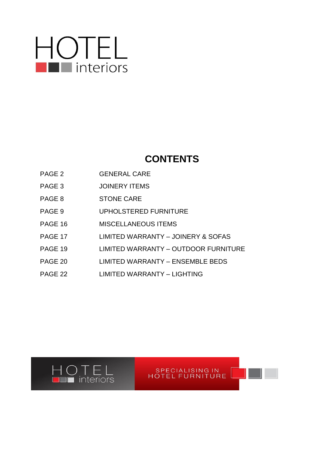# **HOTEL**

# **CONTENTS**

- PAGE 2 **GENERAL CARE**
- PAGE 3 JOINERY ITEMS
- PAGE 8 STONE CARE
- PAGE 9 UPHOLSTERED FURNITURE
- PAGE 16 MISCELLANEOUS ITEMS
- PAGE 17 LIMITED WARRANTY JOINERY & SOFAS
- PAGE 19 LIMITED WARRANTY OUTDOOR FURNITURE
- PAGE 20 LIMITED WARRANTY ENSEMBLE BEDS
- PAGE 22 LIMITED WARRANTY LIGHTING

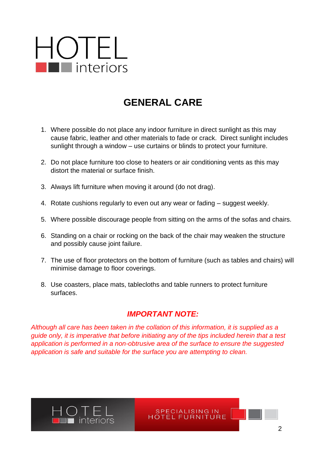# **GENERAL CARE**

- 1. Where possible do not place any indoor furniture in direct sunlight as this may cause fabric, leather and other materials to fade or crack. Direct sunlight includes sunlight through a window – use curtains or blinds to protect your furniture.
- 2. Do not place furniture too close to heaters or air conditioning vents as this may distort the material or surface finish.
- 3. Always lift furniture when moving it around (do not drag).
- 4. Rotate cushions regularly to even out any wear or fading suggest weekly.
- 5. Where possible discourage people from sitting on the arms of the sofas and chairs.
- 6. Standing on a chair or rocking on the back of the chair may weaken the structure and possibly cause joint failure.
- 7. The use of floor protectors on the bottom of furniture (such as tables and chairs) will minimise damage to floor coverings.
- 8. Use coasters, place mats, tablecloths and table runners to protect furniture surfaces.

### *IMPORTANT NOTE:*

*Although all care has been taken in the collation of this information, it is supplied as a guide only, it is imperative that before initiating any of the tips included herein that a test application is performed in a non-obtrusive area of the surface to ensure the suggested application is safe and suitable for the surface you are attempting to clean.* 

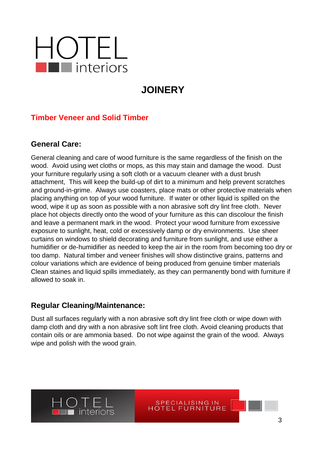# **JOINERY**

### **Timber Veneer and Solid Timber**

#### **General Care:**

General cleaning and care of wood furniture is the same regardless of the finish on the wood. Avoid using wet cloths or mops, as this may stain and damage the wood. Dust your furniture regularly using a soft cloth or a vacuum cleaner with a dust brush attachment, This will keep the build-up of dirt to a minimum and help prevent scratches and ground-in-grime. Always use coasters, place mats or other protective materials when placing anything on top of your wood furniture. If water or other liquid is spilled on the wood, wipe it up as soon as possible with a non abrasive soft dry lint free cloth. Never place hot objects directly onto the wood of your furniture as this can discolour the finish and leave a permanent mark in the wood. Protect your wood furniture from excessive exposure to sunlight, heat, cold or excessively damp or dry environments. Use sheer curtains on windows to shield decorating and furniture from sunlight, and use either a humidifier or de-humidifier as needed to keep the air in the room from becoming too dry or too damp. Natural timber and veneer finishes will show distinctive grains, patterns and colour variations which are evidence of being produced from genuine timber materials Clean staines and liquid spills immediately, as they can permanently bond with furniture if allowed to soak in.

#### **Regular Cleaning/Maintenance:**

Dust all surfaces regularly with a non abrasive soft dry lint free cloth or wipe down with damp cloth and dry with a non abrasive soft lint free cloth. Avoid cleaning products that contain oils or are ammonia based. Do not wipe against the grain of the wood. Always wipe and polish with the wood grain.

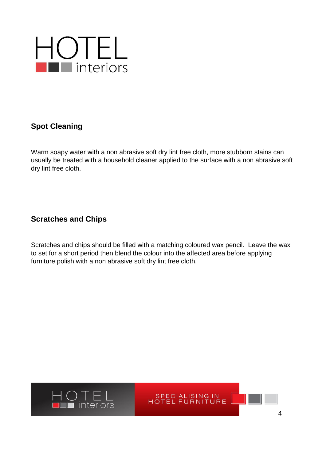

### **Spot Cleaning**

Warm soapy water with a non abrasive soft dry lint free cloth, more stubborn stains can usually be treated with a household cleaner applied to the surface with a non abrasive soft dry lint free cloth.

#### **Scratches and Chips**

Scratches and chips should be filled with a matching coloured wax pencil. Leave the wax to set for a short period then blend the colour into the affected area before applying furniture polish with a non abrasive soft dry lint free cloth.

SPECIALISING IN<br>HOTEL FURNITURE

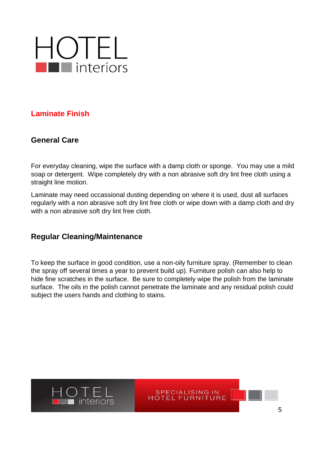

#### **Laminate Finish**

#### **General Care**

For everyday cleaning, wipe the surface with a damp cloth or sponge. You may use a mild soap or detergent. Wipe completely dry with a non abrasive soft dry lint free cloth using a straight line motion.

Laminate may need occassional dusting depending on where it is used, dust all surfaces regularly with a non abrasive soft dry lint free cloth or wipe down with a damp cloth and dry with a non abrasive soft dry lint free cloth.

#### **Regular Cleaning/Maintenance**

To keep the surface in good condition, use a non-oily furniture spray. (Remember to clean the spray off several times a year to prevent build up). Furniture polish can also help to hide fine scratches in the surface. Be sure to completely wipe the polish from the laminate surface. The oils in the polish cannot penetrate the laminate and any residual polish could subject the users hands and clothing to stains.

SPECIALISING IN<br>HOTEL FURNITURE

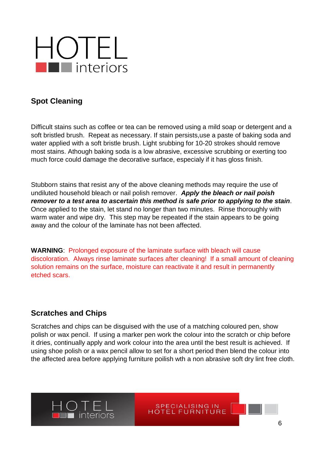

### **Spot Cleaning**

Difficult stains such as coffee or tea can be removed using a mild soap or detergent and a soft bristled brush. Repeat as necessary. If stain persists,use a paste of baking soda and water applied with a soft bristle brush. Light srubbing for 10-20 strokes should remove most stains. Athough baking soda is a low abrasive, excessive scrubbing or exerting too much force could damage the decorative surface, especialy if it has gloss finish.

Stubborn stains that resist any of the above cleaning methods may require the use of undiluted household bleach or nail polish remover. *Apply the bleach or nail poish remover to a test area to ascertain this method is safe prior to applying to the stain*. Once applied to the stain, let stand no longer than two minutes. Rinse thoroughly with warm water and wipe dry. This step may be repeated if the stain appears to be going away and the colour of the laminate has not been affected.

**WARNING**: Prolonged exposure of the laminate surface with bleach will cause discoloration. Always rinse laminate surfaces after cleaning! If a small amount of cleaning solution remains on the surface, moisture can reactivate it and result in permanently etched scars.

#### **Scratches and Chips**

Scratches and chips can be disguised with the use of a matching coloured pen, show polish or wax pencil. If using a marker pen work the colour into the scratch or chip before it dries, continually apply and work colour into the area until the best result is achieved. If using shoe polish or a wax pencil allow to set for a short period then blend the colour into the affected area before applying furniture poilish wth a non abrasive soft dry lint free cloth.

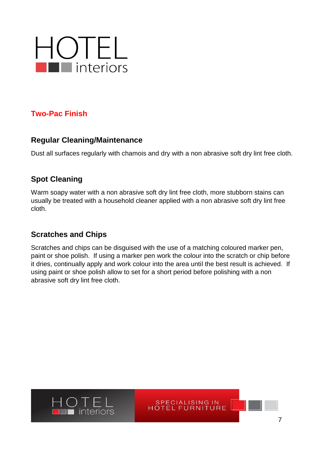

#### **Two-Pac Finish**

#### **Regular Cleaning/Maintenance**

Dust all surfaces regularly with chamois and dry with a non abrasive soft dry lint free cloth.

### **Spot Cleaning**

Warm soapy water with a non abrasive soft dry lint free cloth, more stubborn stains can usually be treated with a household cleaner applied with a non abrasive soft dry lint free cloth.

### **Scratches and Chips**

Scratches and chips can be disguised with the use of a matching coloured marker pen, paint or shoe polish. If using a marker pen work the colour into the scratch or chip before it dries, continually apply and work colour into the area until the best result is achieved. If using paint or shoe polish allow to set for a short period before polishing with a non abrasive soft dry lint free cloth.



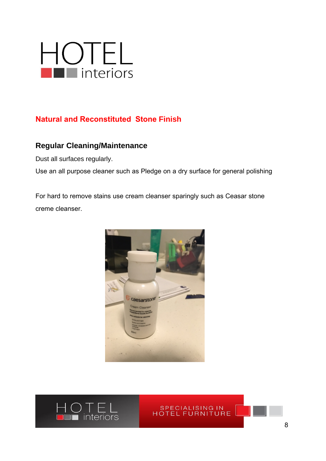

### **Natural and Reconstituted Stone Finish**

#### **Regular Cleaning/Maintenance**

Dust all surfaces regularly.

Use an all purpose cleaner such as Pledge on a dry surface for general polishing

For hard to remove stains use cream cleanser sparingly such as Ceasar stone creme cleanser.



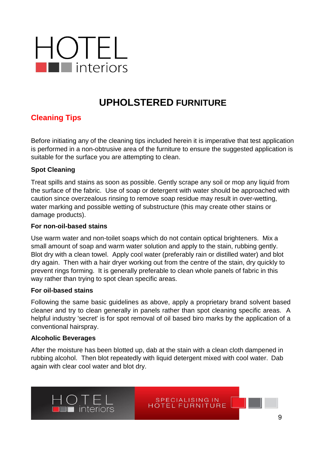

# **UPHOLSTERED FURNITURE**

### **Cleaning Tips**

Before initiating any of the cleaning tips included herein it is imperative that test application is performed in a non-obtrusive area of the furniture to ensure the suggested application is suitable for the surface you are attempting to clean.

#### **Spot Cleaning**

Treat spills and stains as soon as possible. Gently scrape any soil or mop any liquid from the surface of the fabric. Use of soap or detergent with water should be approached with caution since overzealous rinsing to remove soap residue may result in over-wetting, water marking and possible wetting of substructure (this may create other stains or damage products).

#### **For non-oil-based stains**

Use warm water and non-toilet soaps which do not contain optical brighteners. Mix a small amount of soap and warm water solution and apply to the stain, rubbing gently. Blot dry with a clean towel. Apply cool water (preferably rain or distilled water) and blot dry again. Then with a hair dryer working out from the centre of the stain, dry quickly to prevent rings forming. It is generally preferable to clean whole panels of fabric in this way rather than trying to spot clean specific areas.

#### **For oil-based stains**

Following the same basic guidelines as above, apply a proprietary brand solvent based cleaner and try to clean generally in panels rather than spot cleaning specific areas. A helpful industry 'secret' is for spot removal of oil based biro marks by the application of a conventional hairspray.

#### **Alcoholic Beverages**

After the moisture has been blotted up, dab at the stain with a clean cloth dampened in rubbing alcohol. Then blot repeatedly with liquid detergent mixed with cool water. Dab again with clear cool water and blot dry.

SPECIALISING IN<br>HOTEL FURNITURE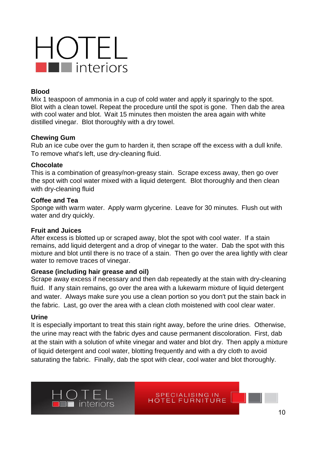#### **Blood**

Mix 1 teaspoon of ammonia in a cup of cold water and apply it sparingly to the spot. Blot with a clean towel. Repeat the procedure until the spot is gone. Then dab the area with cool water and blot. Wait 15 minutes then moisten the area again with white distilled vinegar. Blot thoroughly with a dry towel.

#### **Chewing Gum**

Rub an ice cube over the gum to harden it, then scrape off the excess with a dull knife. To remove what's left, use dry-cleaning fluid.

#### **Chocolate**

This is a combination of greasy/non-greasy stain. Scrape excess away, then go over the spot with cool water mixed with a liquid detergent. Blot thoroughly and then clean with dry-cleaning fluid

#### **Coffee and Tea**

Sponge with warm water. Apply warm glycerine. Leave for 30 minutes. Flush out with water and dry quickly.

#### **Fruit and Juices**

After excess is blotted up or scraped away, blot the spot with cool water. If a stain remains, add liquid detergent and a drop of vinegar to the water. Dab the spot with this mixture and blot until there is no trace of a stain. Then go over the area lightly with clear water to remove traces of vinegar.

#### **Grease (including hair grease and oil)**

Scrape away excess if necessary and then dab repeatedly at the stain with dry-cleaning fluid. If any stain remains, go over the area with a lukewarm mixture of liquid detergent and water. Always make sure you use a clean portion so you don't put the stain back in the fabric. Last, go over the area with a clean cloth moistened with cool clear water.

#### **Urine**

It is especially important to treat this stain right away, before the urine dries. Otherwise, the urine may react with the fabric dyes and cause permanent discoloration. First, dab at the stain with a solution of white vinegar and water and blot dry. Then apply a mixture of liquid detergent and cool water, blotting frequently and with a dry cloth to avoid saturating the fabric. Finally, dab the spot with clear, cool water and blot thoroughly.

SPECIALISING IN<br>HOTEL FURNITURE

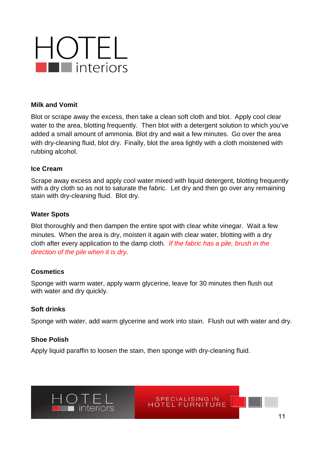#### **Milk and Vomit**

Blot or scrape away the excess, then take a clean soft cloth and blot. Apply cool clear water to the area, blotting frequently. Then blot with a detergent solution to which you've added a small amount of ammonia. Blot dry and wait a few minutes. Go over the area with dry-cleaning fluid, blot dry. Finally, blot the area lightly with a cloth moistened with rubbing alcohol.

#### **Ice Cream**

Scrape away excess and apply cool water mixed with liquid detergent, blotting frequently with a dry cloth so as not to saturate the fabric. Let dry and then go over any remaining stain with dry-cleaning fluid. Blot dry.

#### **Water Spots**

Blot thoroughly and then dampen the entire spot with clear white vinegar. Wait a few minutes. When the area is dry, moisten it again with clear water, blotting with a dry cloth after every application to the damp cloth*. If the fabric has a pile, brush in the direction of the pile when it is dry.* 

#### **Cosmetics**

Sponge with warm water, apply warm glycerine, leave for 30 minutes then flush out with water and dry quickly.

#### **Soft drinks**

Sponge with water, add warm glycerine and work into stain. Flush out with water and dry.

SPECIALISING IN<br>HOTEL FURNITURE

#### **Shoe Polish**

Apply liquid paraffin to loosen the stain, then sponge with dry-cleaning fluid.

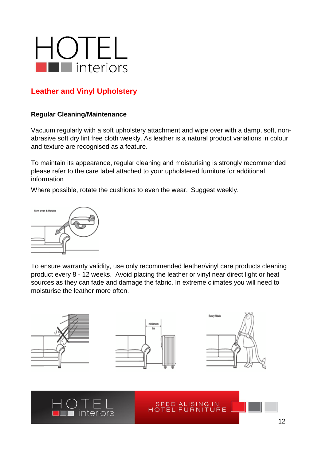## **Leather and Vinyl Upholstery**

#### **Regular Cleaning/Maintenance**

Vacuum regularly with a soft upholstery attachment and wipe over with a damp, soft, nonabrasive soft dry lint free cloth weekly. As leather is a natural product variations in colour and texture are recognised as a feature.

To maintain its appearance, regular cleaning and moisturising is strongly recommended please refer to the care label attached to your upholstered furniture for additional information

Where possible, rotate the cushions to even the wear. Suggest weekly.



To ensure warranty validity, use only recommended leather/vinyl care products cleaning product every 8 - 12 weeks. Avoid placing the leather or vinyl near direct light or heat sources as they can fade and damage the fabric. In extreme climates you will need to moisturise the leather more often.

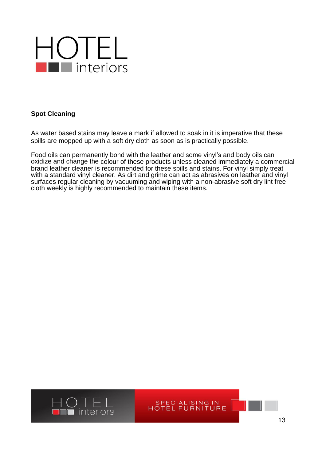

#### **Spot Cleaning**

As water based stains may leave a mark if allowed to soak in it is imperative that these spills are mopped up with a soft dry cloth as soon as is practically possible.

Food oils can permanently bond with the leather and some vinyl's and body oils can oxidize and change the colour of these products unless cleaned immediately a commercial brand leather cleaner is recommended for these spills and stains. For vinyl simply treat with a standard vinyl cleaner. As dirt and grime can act as abrasives on leather and vinyl surfaces regular cleaning by vacuuming and wiping with a non-abrasive soft dry lint free cloth weekly is highly recommended to maintain these items.



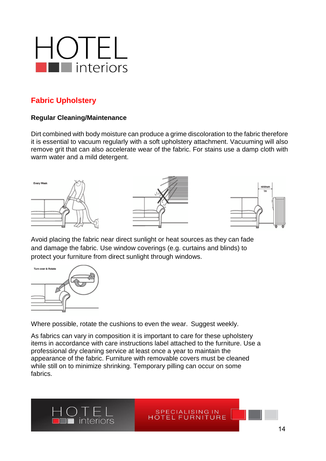

### **Fabric Upholstery**

#### **Regular Cleaning/Maintenance**

Dirt combined with body moisture can produce a grime discoloration to the fabric therefore it is essential to vacuum regularly with a soft upholstery attachment. Vacuuming will also remove grit that can also accelerate wear of the fabric. For stains use a damp cloth with warm water and a mild detergent.



Avoid placing the fabric near direct sunlight or heat sources as they can fade and damage the fabric. Use window coverings (e.g. curtains and blinds) to protect your furniture from direct sunlight through windows.



Where possible, rotate the cushions to even the wear. Suggest weekly.

As fabrics can vary in composition it is important to care for these upholstery items in accordance with care instructions label attached to the furniture. Use a professional dry cleaning service at least once a year to maintain the appearance of the fabric. Furniture with removable covers must be cleaned while still on to minimize shrinking. Temporary pilling can occur on some fabrics.

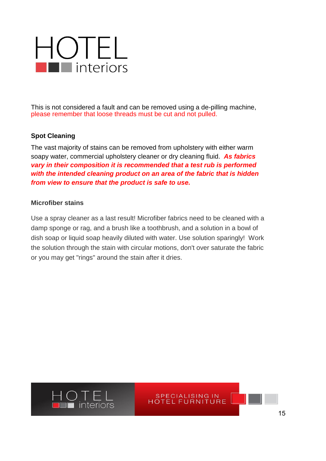This is not considered a fault and can be removed using a de-pilling machine, please remember that loose threads must be cut and not pulled.

#### **Spot Cleaning**

The vast majority of stains can be removed from upholstery with either warm soapy water, commercial upholstery cleaner or dry cleaning fluid. *As fabrics vary in their composition it is recommended that a test rub is performed with the intended cleaning product on an area of the fabric that is hidden from view to ensure that the product is safe to use.*

#### **Microfiber stains**

Use a spray cleaner as a last result! Microfiber fabrics need to be cleaned with a damp sponge or rag, and a brush like a toothbrush, and a solution in a bowl of dish soap or liquid soap heavily diluted with water. Use solution sparingly! Work the solution through the stain with circular motions, don't over saturate the fabric or you may get "rings" around the stain after it dries.

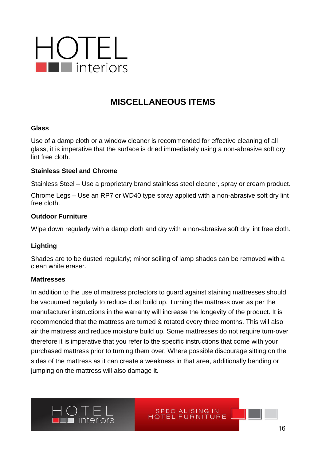

# **MISCELLANEOUS ITEMS**

#### **Glass**

Use of a damp cloth or a window cleaner is recommended for effective cleaning of all glass, it is imperative that the surface is dried immediately using a non-abrasive soft dry lint free cloth.

#### **Stainless Steel and Chrome**

Stainless Steel – Use a proprietary brand stainless steel cleaner, spray or cream product.

Chrome Legs – Use an RP7 or WD40 type spray applied with a non-abrasive soft dry lint free cloth.

#### **Outdoor Furniture**

Wipe down regularly with a damp cloth and dry with a non-abrasive soft dry lint free cloth.

#### **Lighting**

Shades are to be dusted regularly; minor soiling of lamp shades can be removed with a clean white eraser.

#### **Mattresses**

In addition to the use of mattress protectors to guard against staining mattresses should be vacuumed regularly to reduce dust build up. Turning the mattress over as per the manufacturer instructions in the warranty will increase the longevity of the product. It is recommended that the mattress are turned & rotated every three months. This will also air the mattress and reduce moisture build up. Some mattresses do not require turn-over therefore it is imperative that you refer to the specific instructions that come with your purchased mattress prior to turning them over. Where possible discourage sitting on the sides of the mattress as it can create a weakness in that area, additionally bending or jumping on the mattress will also damage it.

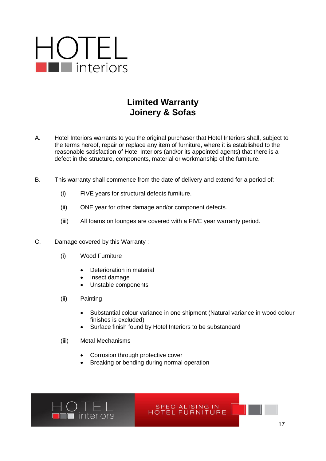## **Limited Warranty Joinery & Sofas**

- A. Hotel Interiors warrants to you the original purchaser that Hotel Interiors shall, subject to the terms hereof, repair or replace any item of furniture, where it is established to the reasonable satisfaction of Hotel Interiors (and/or its appointed agents) that there is a defect in the structure, components, material or workmanship of the furniture.
- B. This warranty shall commence from the date of delivery and extend for a period of:
	- (i) FIVE years for structural defects furniture.
	- (ii) ONE year for other damage and/or component defects.
	- (iii) All foams on lounges are covered with a FIVE year warranty period.
- C. Damage covered by this Warranty :
	- (i) Wood Furniture
		- Deterioration in material
		- Insect damage
		- Unstable components
	- (ii) Painting
		- Substantial colour variance in one shipment (Natural variance in wood colour finishes is excluded)
		- Surface finish found by Hotel Interiors to be substandard
	- (iii) Metal Mechanisms
		- Corrosion through protective cover
		- Breaking or bending during normal operation

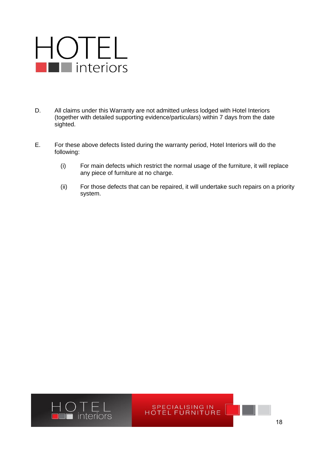- D. All claims under this Warranty are not admitted unless lodged with Hotel Interiors (together with detailed supporting evidence/particulars) within 7 days from the date sighted.
- E. For these above defects listed during the warranty period, Hotel Interiors will do the following:
	- (i) For main defects which restrict the normal usage of the furniture, it will replace any piece of furniture at no charge.
	- (ii) For those defects that can be repaired, it will undertake such repairs on a priority system.

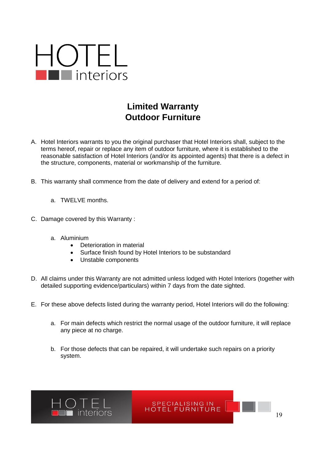

# **Limited Warranty Outdoor Furniture**

- A. Hotel Interiors warrants to you the original purchaser that Hotel Interiors shall, subject to the terms hereof, repair or replace any item of outdoor furniture, where it is established to the reasonable satisfaction of Hotel Interiors (and/or its appointed agents) that there is a defect in the structure, components, material or workmanship of the furniture.
- B. This warranty shall commence from the date of delivery and extend for a period of:
	- a. TWELVE months.
- C. Damage covered by this Warranty :
	- a. Aluminium
		- Deterioration in material
		- Surface finish found by Hotel Interiors to be substandard
		- Unstable components
- D. All claims under this Warranty are not admitted unless lodged with Hotel Interiors (together with detailed supporting evidence/particulars) within 7 days from the date sighted.
- E. For these above defects listed during the warranty period, Hotel Interiors will do the following:
	- a. For main defects which restrict the normal usage of the outdoor furniture, it will replace any piece at no charge.

SPECIALISING IN FOTEL FURNITURE

b. For those defects that can be repaired, it will undertake such repairs on a priority system.



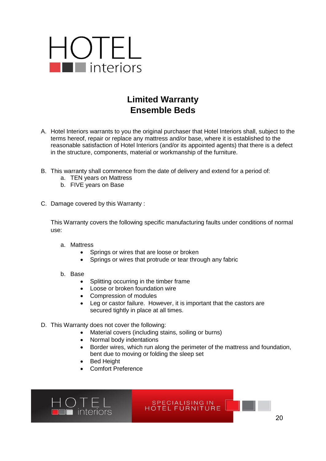

# **Limited Warranty Ensemble Beds**

- A. Hotel Interiors warrants to you the original purchaser that Hotel Interiors shall, subject to the terms hereof, repair or replace any mattress and/or base, where it is established to the reasonable satisfaction of Hotel Interiors (and/or its appointed agents) that there is a defect in the structure, components, material or workmanship of the furniture.
- B. This warranty shall commence from the date of delivery and extend for a period of:
	- a. TEN years on Mattress
	- b. FIVE years on Base
- C. Damage covered by this Warranty :

This Warranty covers the following specific manufacturing faults under conditions of normal use:

- a. Mattress
	- Springs or wires that are loose or broken
	- Springs or wires that protrude or tear through any fabric
- b. Base
	- Splitting occurring in the timber frame
	- Loose or broken foundation wire
	- Compression of modules
	- Leg or castor failure. However, it is important that the castors are secured tightly in place at all times.
- D. This Warranty does not cover the following:
	- Material covers (including stains, soiling or burns)
	- Normal body indentations
	- Border wires, which run along the perimeter of the mattress and foundation, bent due to moving or folding the sleep set

SPECIALISING IN<br>HOTEL FURNITURE

- Bed Height
- Comfort Preference

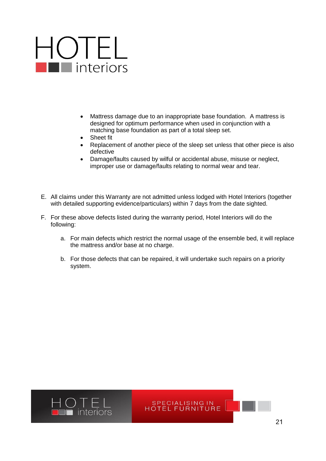# $\bigcup_{\blacksquare} \bigcap_{\blacksquare} \blacksquare$

- Mattress damage due to an inappropriate base foundation. A mattress is designed for optimum performance when used in conjunction with a matching base foundation as part of a total sleep set.
- Sheet fit
- Replacement of another piece of the sleep set unless that other piece is also defective
- Damage/faults caused by wilful or accidental abuse, misuse or neglect, improper use or damage/faults relating to normal wear and tear.
- E. All claims under this Warranty are not admitted unless lodged with Hotel Interiors (together with detailed supporting evidence/particulars) within 7 days from the date sighted.
- F. For these above defects listed during the warranty period, Hotel Interiors will do the following:
	- a. For main defects which restrict the normal usage of the ensemble bed, it will replace the mattress and/or base at no charge.

SPECIALISING IN<br>HOTEL FURNITURE

b. For those defects that can be repaired, it will undertake such repairs on a priority system.